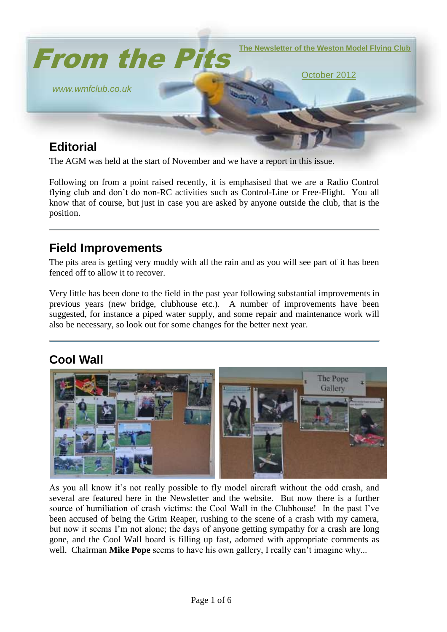

# **Editorial**

The AGM was held at the start of November and we have a report in this issue.

Following on from a point raised recently, it is emphasised that we are a Radio Control flying club and don't do non-RC activities such as Control-Line or Free-Flight. You all know that of course, but just in case you are asked by anyone outside the club, that is the position.

#### **Field Improvements**

The pits area is getting very muddy with all the rain and as you will see part of it has been fenced off to allow it to recover.

Very little has been done to the field in the past year following substantial improvements in previous years (new bridge, clubhouse etc.). A number of improvements have been suggested, for instance a piped water supply, and some repair and maintenance work will also be necessary, so look out for some changes for the better next year.

### **Cool Wall**



As you all know it's not really possible to fly model aircraft without the odd crash, and several are featured here in the Newsletter and the website. But now there is a further source of humiliation of crash victims: the Cool Wall in the Clubhouse! In the past I've been accused of being the Grim Reaper, rushing to the scene of a crash with my camera, but now it seems I'm not alone; the days of anyone getting sympathy for a crash are long gone, and the Cool Wall board is filling up fast, adorned with appropriate comments as well. Chairman **Mike Pope** seems to have his own gallery, I really can't imagine why...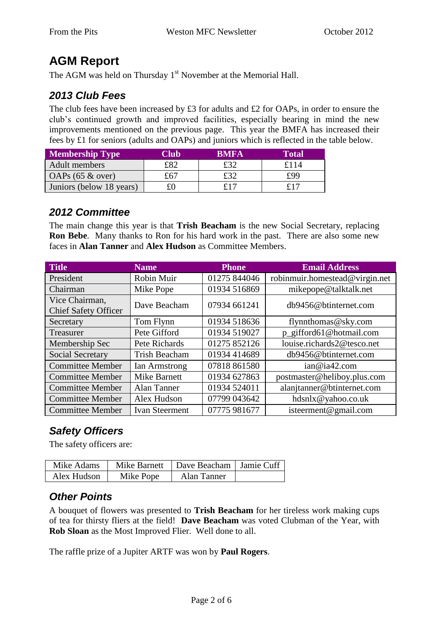## **AGM Report**

The AGM was held on Thursday 1<sup>st</sup> November at the Memorial Hall.

#### *2013 Club Fees*

The club fees have been increased by £3 for adults and £2 for OAPs, in order to ensure the club's continued growth and improved facilities, especially bearing in mind the new improvements mentioned on the previous page. This year the BMFA has increased their fees by £1 for seniors (adults and OAPs) and juniors which is reflected in the table below.

| <b>Membership Type</b>   | Club | <b>RMFA</b> | <b>Total</b> |
|--------------------------|------|-------------|--------------|
| Adult members            | f82  | £32         | £114         |
| $OAPs$ (65 & over)       | £67  | £32         | £99          |
| Juniors (below 18 years) |      | £17         | £17          |

#### *2012 Committee*

The main change this year is that **Trish Beacham** is the new Social Secretary, replacing **Ron Bebe**. Many thanks to Ron for his hard work in the past. There are also some new faces in **Alan Tanner** and **Alex Hudson** as Committee Members.

| <b>Title</b>                                  | <b>Name</b>           | <b>Phone</b> | <b>Email Address</b>           |
|-----------------------------------------------|-----------------------|--------------|--------------------------------|
| President                                     | Robin Muir            | 01275 844046 | robinmuir.homestead@virgin.net |
| Chairman                                      | Mike Pope             | 01934 516869 | mikepope@talktalk.net          |
| Vice Chairman,<br><b>Chief Safety Officer</b> | Dave Beacham          | 07934 661241 | db9456@btinternet.com          |
| Secretary                                     | Tom Flynn             | 01934 518636 | flynnthomas@sky.com            |
| Treasurer                                     | Pete Gifford          | 01934 519027 | p_gifford61@hotmail.com        |
| Membership Sec                                | Pete Richards         | 01275 852126 | louise.richards2@tesco.net     |
| Social Secretary                              | <b>Trish Beacham</b>  | 01934 414689 | db9456@btinternet.com          |
| <b>Committee Member</b>                       | Ian Armstrong         | 07818 861580 | ian@ia42.com                   |
| <b>Committee Member</b>                       | <b>Mike Barnett</b>   | 01934 627863 | postmaster@heliboy.plus.com    |
| <b>Committee Member</b>                       | <b>Alan Tanner</b>    | 01934 524011 | alanjtanner@btinternet.com     |
| <b>Committee Member</b>                       | Alex Hudson           | 07799 043642 | hdsnlx@yahoo.co.uk             |
| <b>Committee Member</b>                       | <b>Ivan Steerment</b> | 07775 981677 | isteerment@gmail.com           |

#### *Safety Officers*

The safety officers are:

| Mike Adams  | Mike Barnett | Dave Beacham   Jamie Cuff |  |
|-------------|--------------|---------------------------|--|
| Alex Hudson | Mike Pope    | Alan Tanner               |  |

#### *Other Points*

A bouquet of flowers was presented to **Trish Beacham** for her tireless work making cups of tea for thirsty fliers at the field! **Dave Beacham** was voted Clubman of the Year, with **Rob Sloan** as the Most Improved Flier. Well done to all.

The raffle prize of a Jupiter ARTF was won by **Paul Rogers**.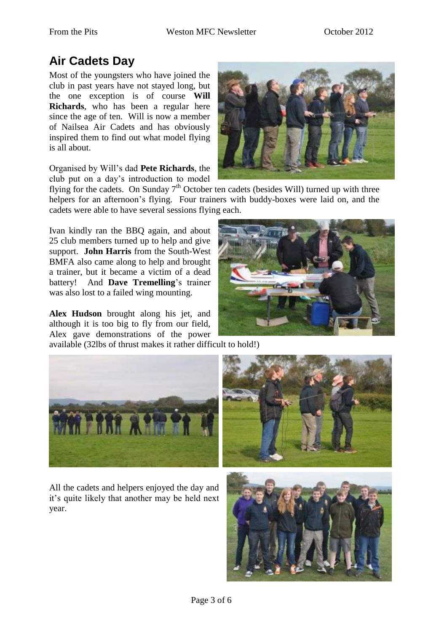## **Air Cadets Day**

Most of the youngsters who have joined the club in past years have not stayed long, but the one exception is of course **Will Richards**, who has been a regular here since the age of ten. Will is now a member of Nailsea Air Cadets and has obviously inspired them to find out what model flying is all about.

Organised by Will's dad **Pete Richards**, the club put on a day's introduction to model



flying for the cadets. On Sunday  $7<sup>th</sup>$  October ten cadets (besides Will) turned up with three helpers for an afternoon's flying. Four trainers with buddy-boxes were laid on, and the cadets were able to have several sessions flying each.

Ivan kindly ran the BBQ again, and about 25 club members turned up to help and give support. **John Harris** from the South-West BMFA also came along to help and brought a trainer, but it became a victim of a dead battery! And **Dave Tremelling**'s trainer was also lost to a failed wing mounting.

**Alex Hudson** brought along his jet, and although it is too big to fly from our field, Alex gave demonstrations of the power available (32lbs of thrust makes it rather difficult to hold!)





All the cadets and helpers enjoyed the day and it's quite likely that another may be held next year.



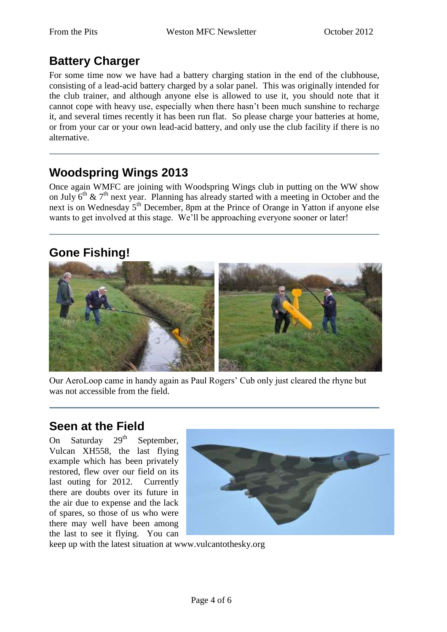# **Battery Charger**

For some time now we have had a battery charging station in the end of the clubhouse, consisting of a lead-acid battery charged by a solar panel. This was originally intended for the club trainer, and although anyone else is allowed to use it, you should note that it cannot cope with heavy use, especially when there hasn't been much sunshine to recharge it, and several times recently it has been run flat. So please charge your batteries at home, or from your car or your own lead-acid battery, and only use the club facility if there is no alternative.

## **Woodspring Wings 2013**

Once again WMFC are joining with Woodspring Wings club in putting on the WW show on July  $6<sup>th</sup>$  &  $7<sup>th</sup>$  next year. Planning has already started with a meeting in October and the next is on Wednesday 5<sup>th</sup> December, 8pm at the Prince of Orange in Yatton if anyone else wants to get involved at this stage. We'll be approaching everyone sooner or later!

## **Gone Fishing!**



Our AeroLoop came in handy again as Paul Rogers' Cub only just cleared the rhyne but was not accessible from the field.

#### **Seen at the Field**

On Saturday  $29<sup>th</sup>$  September, Vulcan XH558, the last flying example which has been privately restored, flew over our field on its last outing for 2012. Currently there are doubts over its future in the air due to expense and the lack of spares, so those of us who were there may well have been among the last to see it flying. You can



keep up with the latest situation at www.vulcantothesky.org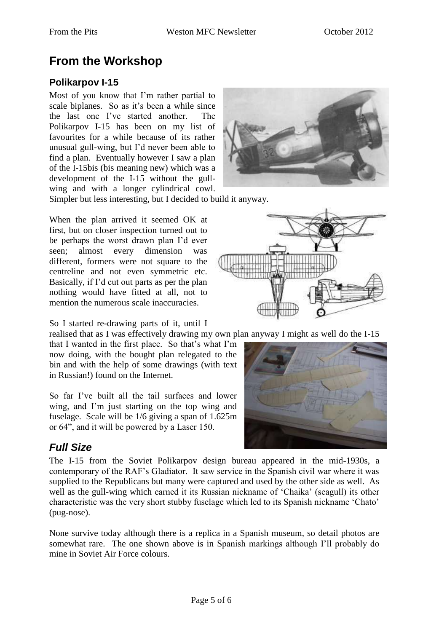# **From the Workshop**

#### **Polikarpov I-15**

Most of you know that I'm rather partial to scale biplanes. So as it's been a while since the last one I've started another. The Polikarpov I-15 has been on my list of favourites for a while because of its rather unusual gull-wing, but I'd never been able to find a plan. Eventually however I saw a plan of the I-15bis (bis meaning new) which was a development of the I-15 without the gullwing and with a longer cylindrical cowl. Simpler but less interesting, but I decided to build it anyway.

When the plan arrived it seemed OK at first, but on closer inspection turned out to be perhaps the worst drawn plan I'd ever seen; almost every dimension was different, formers were not square to the centreline and not even symmetric etc. Basically, if I'd cut out parts as per the plan nothing would have fitted at all, not to mention the numerous scale inaccuracies.

So I started re-drawing parts of it, until I

realised that as I was effectively drawing my own plan anyway I might as well do the I-15

that I wanted in the first place. So that's what I'm now doing, with the bought plan relegated to the bin and with the help of some drawings (with text in Russian!) found on the Internet.

So far I've built all the tail surfaces and lower wing, and I'm just starting on the top wing and fuselage. Scale will be 1/6 giving a span of 1.625m or 64", and it will be powered by a Laser 150.

#### *Full Size*

The I-15 from the Soviet Polikarpov design bureau appeared in the mid-1930s, a contemporary of the RAF's Gladiator. It saw service in the Spanish civil war where it was supplied to the Republicans but many were captured and used by the other side as well. As well as the gull-wing which earned it its Russian nickname of 'Chaika' (seagull) its other characteristic was the very short stubby fuselage which led to its Spanish nickname 'Chato' (pug-nose).

None survive today although there is a replica in a Spanish museum, so detail photos are somewhat rare. The one shown above is in Spanish markings although I'll probably do mine in Soviet Air Force colours.